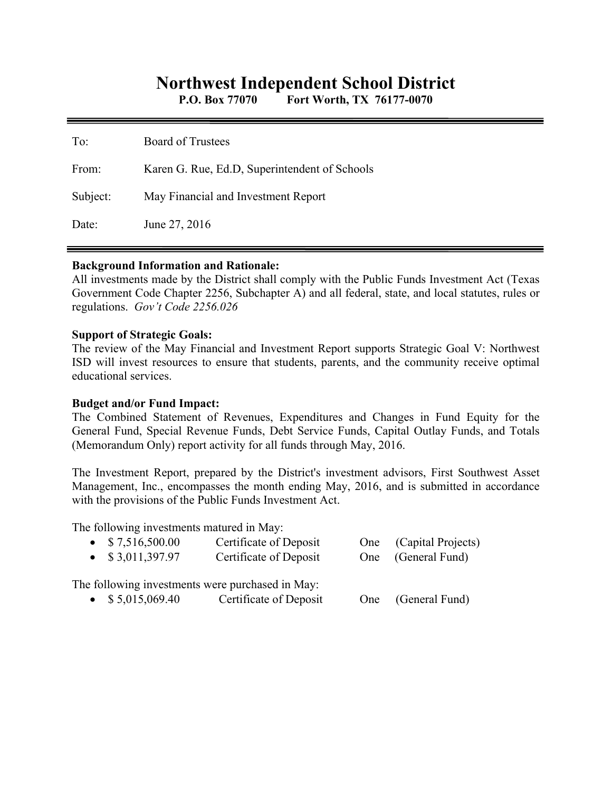# **Northwest Independent School District**

**P.O. Box 77070 Fort Worth, TX 76177-0070** 

| To:      | <b>Board of Trustees</b>                      |
|----------|-----------------------------------------------|
| From:    | Karen G. Rue, Ed.D, Superintendent of Schools |
| Subject: | May Financial and Investment Report           |
| Date:    | June 27, 2016                                 |

#### **Background Information and Rationale:**

All investments made by the District shall comply with the Public Funds Investment Act (Texas Government Code Chapter 2256, Subchapter A) and all federal, state, and local statutes, rules or regulations. *Gov't Code 2256.026* 

#### **Support of Strategic Goals:**

The review of the May Financial and Investment Report supports Strategic Goal V: Northwest ISD will invest resources to ensure that students, parents, and the community receive optimal educational services.

# **Budget and/or Fund Impact:**

The Combined Statement of Revenues, Expenditures and Changes in Fund Equity for the General Fund, Special Revenue Funds, Debt Service Funds, Capital Outlay Funds, and Totals (Memorandum Only) report activity for all funds through May, 2016.

The Investment Report, prepared by the District's investment advisors, First Southwest Asset Management, Inc., encompasses the month ending May, 2016, and is submitted in accordance with the provisions of the Public Funds Investment Act.

The following investments matured in May:

| $\bullet$ \$7,516,500.00<br>$\bullet$ \$3,011,397.97 | Certificate of Deposit<br>Certificate of Deposit |     | One (Capital Projects)<br>One (General Fund) |  |
|------------------------------------------------------|--------------------------------------------------|-----|----------------------------------------------|--|
|                                                      | The following investments were purchased in May: |     |                                              |  |
| $\bullet$ \$ 5,015,069.40                            | Certificate of Deposit                           | One | (General Fund)                               |  |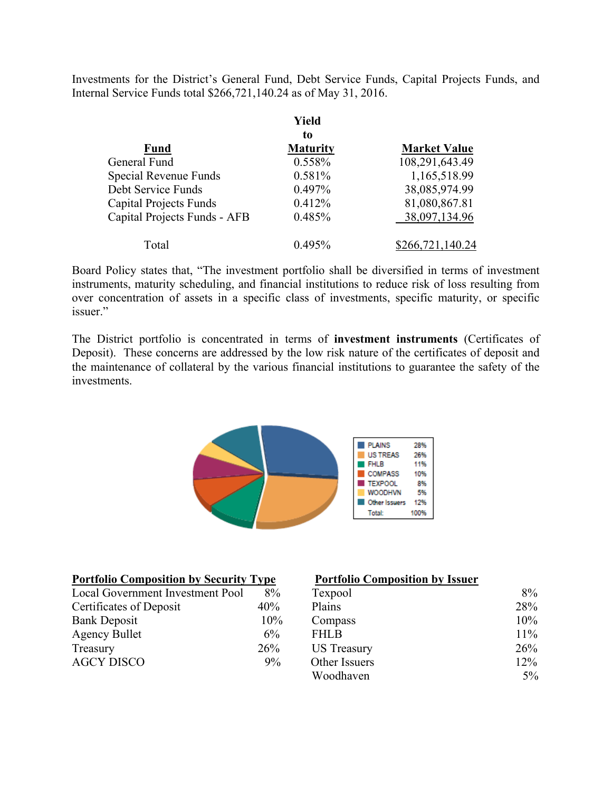Investments for the District's General Fund, Debt Service Funds, Capital Projects Funds, and Internal Service Funds total \$266,721,140.24 as of May 31, 2016.

|                               | Yield           |                     |
|-------------------------------|-----------------|---------------------|
|                               | to              |                     |
| <b>Fund</b>                   | <b>Maturity</b> | <b>Market Value</b> |
| General Fund                  | 0.558%          | 108,291,643.49      |
| Special Revenue Funds         | 0.581%          | 1,165,518.99        |
| Debt Service Funds            | 0.497%          | 38,085,974.99       |
| <b>Capital Projects Funds</b> | 0.412%          | 81,080,867.81       |
| Capital Projects Funds - AFB  | 0.485%          | 38,097,134.96       |
| Total                         | $0.495\%$       | \$266,721,140.24    |

Board Policy states that, "The investment portfolio shall be diversified in terms of investment instruments, maturity scheduling, and financial institutions to reduce risk of loss resulting from over concentration of assets in a specific class of investments, specific maturity, or specific issuer."

The District portfolio is concentrated in terms of **investment instruments** (Certificates of Deposit). These concerns are addressed by the low risk nature of the certificates of deposit and the maintenance of collateral by the various financial institutions to guarantee the safety of the investments.



| <b>Portfolio Composition by Security Type</b> |       | <b>Portfolio Composition by Issuer</b> |        |
|-----------------------------------------------|-------|----------------------------------------|--------|
| Local Government Investment Pool              | 8%    | Texpool                                | 8%     |
| Certificates of Deposit                       | 40%   | Plains                                 | 28%    |
| <b>Bank Deposit</b>                           | 10%   | Compass                                | 10%    |
| <b>Agency Bullet</b>                          | $6\%$ | <b>FHLB</b>                            | $11\%$ |
| Treasury                                      | 26%   | <b>US</b> Treasury                     | 26%    |
| <b>AGCY DISCO</b>                             | 9%    | Other Issuers                          | 12%    |
|                                               |       | Woodhaven                              | $5\%$  |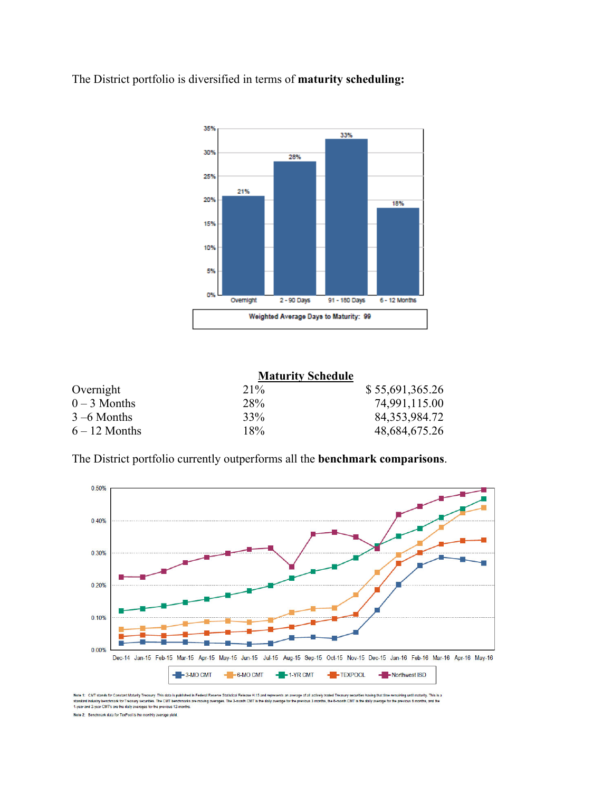The District portfolio is diversified in terms of **maturity scheduling:** 



|                 | <b>Maturity Schedule</b> |                  |
|-----------------|--------------------------|------------------|
| Overnight       | $21\%$                   | \$55,691,365.26  |
| $0 - 3$ Months  | 28%                      | 74,991,115.00    |
| $3 - 6$ Months  | 33%                      | 84, 353, 984. 72 |
| $6 - 12$ Months | 18%                      | 48,684,675.26    |

The District portfolio currently outperforms all the **benchmark comparisons**.



Note 1: CMT stands for Constant Maturity Treasury. This data is published in Federal Reserve Statistical Release H.15 and represents an average of all actively traded Treasury securities having that time remaining until ma

Note 2: Benchmark data for TexPool is the monthly average yield.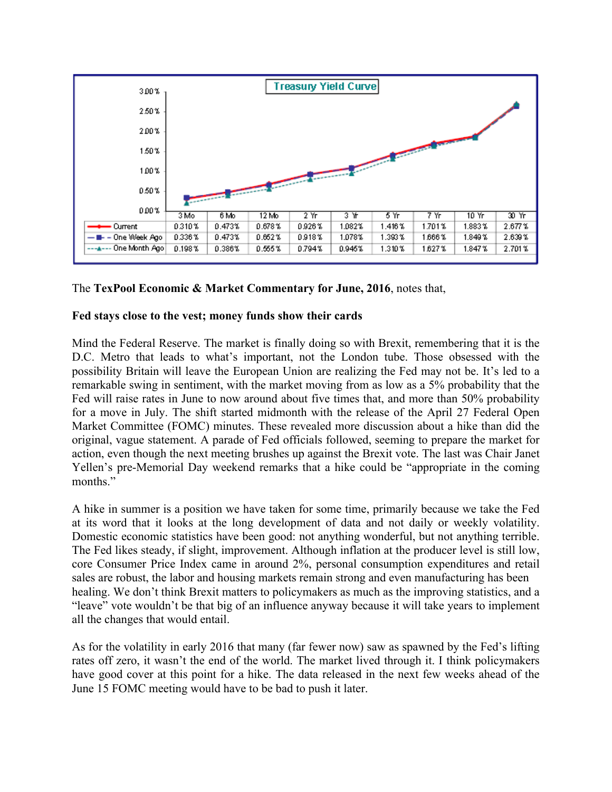

# The **TexPool Economic & Market Commentary for June, 2016**, notes that,

# **Fed stays close to the vest; money funds show their cards**

Mind the Federal Reserve. The market is finally doing so with Brexit, remembering that it is the D.C. Metro that leads to what's important, not the London tube. Those obsessed with the possibility Britain will leave the European Union are realizing the Fed may not be. It's led to a remarkable swing in sentiment, with the market moving from as low as a 5% probability that the Fed will raise rates in June to now around about five times that, and more than 50% probability for a move in July. The shift started midmonth with the release of the April 27 Federal Open Market Committee (FOMC) minutes. These revealed more discussion about a hike than did the original, vague statement. A parade of Fed officials followed, seeming to prepare the market for action, even though the next meeting brushes up against the Brexit vote. The last was Chair Janet Yellen's pre-Memorial Day weekend remarks that a hike could be "appropriate in the coming months."

A hike in summer is a position we have taken for some time, primarily because we take the Fed at its word that it looks at the long development of data and not daily or weekly volatility. Domestic economic statistics have been good: not anything wonderful, but not anything terrible. The Fed likes steady, if slight, improvement. Although inflation at the producer level is still low, core Consumer Price Index came in around 2%, personal consumption expenditures and retail sales are robust, the labor and housing markets remain strong and even manufacturing has been healing. We don't think Brexit matters to policymakers as much as the improving statistics, and a "leave" vote wouldn't be that big of an influence anyway because it will take years to implement all the changes that would entail.

As for the volatility in early 2016 that many (far fewer now) saw as spawned by the Fed's lifting rates off zero, it wasn't the end of the world. The market lived through it. I think policymakers have good cover at this point for a hike. The data released in the next few weeks ahead of the June 15 FOMC meeting would have to be bad to push it later.